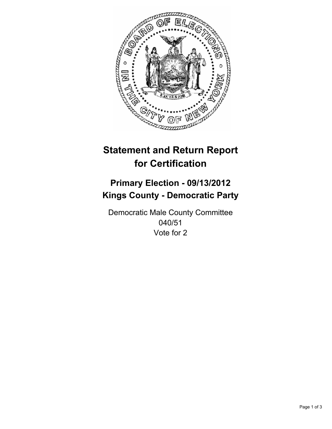

# **Statement and Return Report for Certification**

## **Primary Election - 09/13/2012 Kings County - Democratic Party**

Democratic Male County Committee 040/51 Vote for 2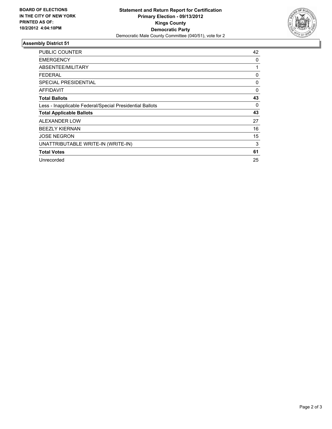

### **Assembly District 51**

| <b>PUBLIC COUNTER</b>                                    | 42 |
|----------------------------------------------------------|----|
| <b>EMERGENCY</b>                                         | 0  |
| ABSENTEE/MILITARY                                        | 1  |
| <b>FEDERAL</b>                                           | 0  |
| <b>SPECIAL PRESIDENTIAL</b>                              | 0  |
| AFFIDAVIT                                                | 0  |
| <b>Total Ballots</b>                                     | 43 |
| Less - Inapplicable Federal/Special Presidential Ballots | 0  |
| <b>Total Applicable Ballots</b>                          | 43 |
| ALEXANDER LOW                                            | 27 |
| <b>BEEZLY KIERNAN</b>                                    | 16 |
| <b>JOSE NEGRON</b>                                       | 15 |
| UNATTRIBUTABLE WRITE-IN (WRITE-IN)                       | 3  |
| <b>Total Votes</b>                                       | 61 |
| Unrecorded                                               | 25 |